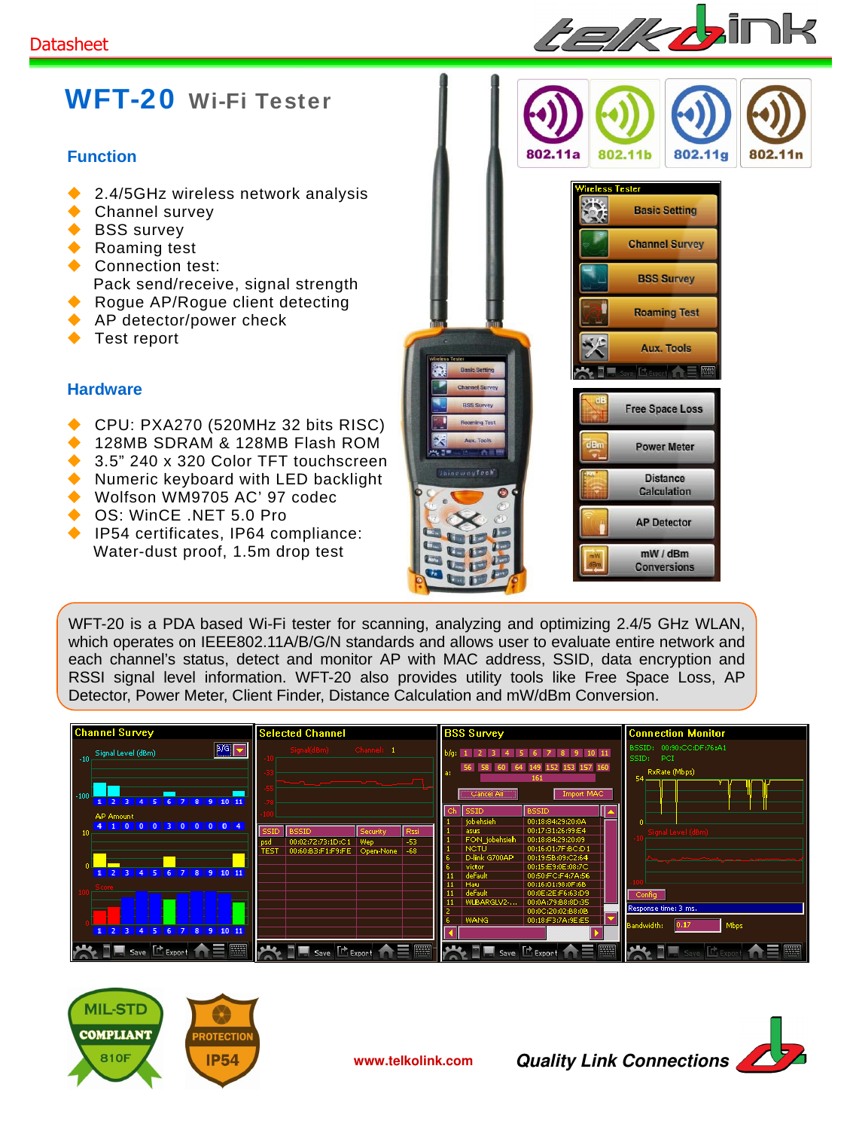

## WFT-20 Wi-Fi Tester

## **Function**

- 2.4/5GHz wireless network analysis
- ◆ Channel survey
- ◆ BSS survey
- ◆ Roaming test
- ◆ Connection test: Pack send/receive, signal strength
- ◆ Rogue AP/Rogue client detecting
- ◆ AP detector/power check
- ◆ Test report

## **Hardware**

- ◆ CPU: PXA270 (520MHz 32 bits RISC)
- 128MB SDRAM & 128MB Flash ROM
- 3.5" 240 x 320 Color TFT touchscreen
- ◆ Numeric keyboard with LED backlight
- Wolfson WM9705 AC' 97 codec
- ◆ OS: WinCE .NET 5.0 Pro
- ◆ IP54 certificates, IP64 compliance: Water-dust proof, 1.5m drop test



WFT-20 is a PDA based Wi-Fi tester for scanning, analyzing and optimizing 2.4/5 GHz WLAN, which operates on IEEE802.11A/B/G/N standards and allows user to evaluate entire network and each channel's status, detect and monitor AP with MAC address, SSID, data encryption and RSSI signal level information. WFT-20 also provides utility tools like Free Space Loss, AP Detector, Power Meter, Client Finder, Distance Calculation and mW/dBm Conversion.

| <b>Channel Survey</b>                                                                                                                 | <b>Selected Channel</b>                                                                     | <b>BSS Survey</b>                                                                                                                                                                                                       | <b>Connection Monitor</b>                                 |
|---------------------------------------------------------------------------------------------------------------------------------------|---------------------------------------------------------------------------------------------|-------------------------------------------------------------------------------------------------------------------------------------------------------------------------------------------------------------------------|-----------------------------------------------------------|
| 3/9<br>-10 Signal Level (dBm)<br>$-100$                                                                                               | Signal(dBm) Channel: 1                                                                      | b/g: 1 2 3 4 5 6 7 8 9 10 11<br>149 152 153 157 160<br>$-647$<br>161<br>Import MAC<br>"Cancel All                                                                                                                       | BSSID: 00:90:CC:DF:76:A1<br>PCI<br>SSID:<br>RxRate (Mbps) |
| 1 2 3 4 5 6 7 8 9 10 11<br><b>AP Amount</b><br>4 1 0 0 0 3 0 0 0 0 4                                                                  | <b>SSID</b><br>Rssi<br><b>BSSID</b><br>Security<br>-53<br>psd<br>00:02:72:73:1D:C1<br>  Wep | <b>BSSID</b><br><b>SSID</b><br>iobehsieh<br>00:18:84:29:20:0A<br>00:17:31:26:99:E4<br>asus<br>FON jobehsieh<br>00:18:84:29:20:09<br>00:16:01:7F:BC:D1<br><b>NCTU</b>                                                    | Signal Level (dBm)                                        |
| 1 2 3 4 5 6 7 8 9 10 11                                                                                                               | 00:60:B3:F1:F9:FE Open-None -68<br>TEST                                                     | D-link G700AP<br>00:19:5B:09:C2:64<br>victor<br>00:15:E9:0E:08:7C<br>default<br>00:50:FC:F4:7A:56<br>00:16:01:98:0F:6B<br>  Hau<br>default<br>00:0E:2E:F6:63:D9<br>00:0A:79:B8:8D:35<br>WLBARGLV2-<br>00:0C:20:02:B8:0B | Response time: 3 ms.                                      |
| 1 2 3 4 5 6 7 8 9 10 11<br>AZIE Save E Export A E BI AVEZE Save E Export A E BI AVEZE Save E Export A E BI AVEZE Save E Export A E BI |                                                                                             | <b>WANG</b><br>00:18:F3:7A:9E:E5                                                                                                                                                                                        | Bandwidth:<br>Mbps                                        |



**www.telkolink.com Quality Link Connections**